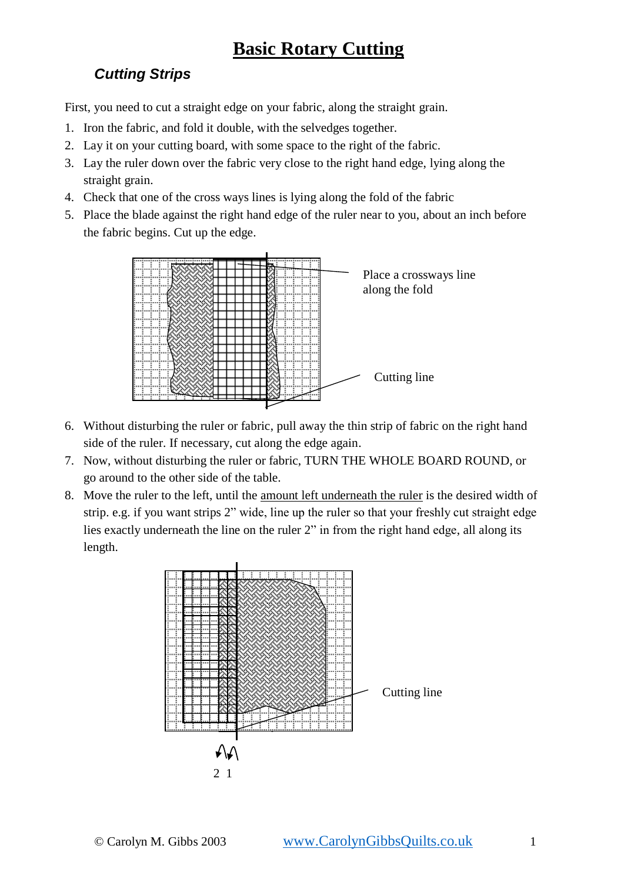## **Basic Rotary Cutting**

## *Cutting Strips*

First, you need to cut a straight edge on your fabric, along the straight grain.

- 1. Iron the fabric, and fold it double, with the selvedges together.
- 2. Lay it on your cutting board, with some space to the right of the fabric.
- 3. Lay the ruler down over the fabric very close to the right hand edge, lying along the straight grain.
- 4. Check that one of the cross ways lines is lying along the fold of the fabric
- 5. Place the blade against the right hand edge of the ruler near to you, about an inch before the fabric begins. Cut up the edge.



- 6. Without disturbing the ruler or fabric, pull away the thin strip of fabric on the right hand side of the ruler. If necessary, cut along the edge again.
- 7. Now, without disturbing the ruler or fabric, TURN THE WHOLE BOARD ROUND, or go around to the other side of the table.
- 8. Move the ruler to the left, until the amount left underneath the ruler is the desired width of strip. e.g. if you want strips 2" wide, line up the ruler so that your freshly cut straight edge lies exactly underneath the line on the ruler 2" in from the right hand edge, all along its length.